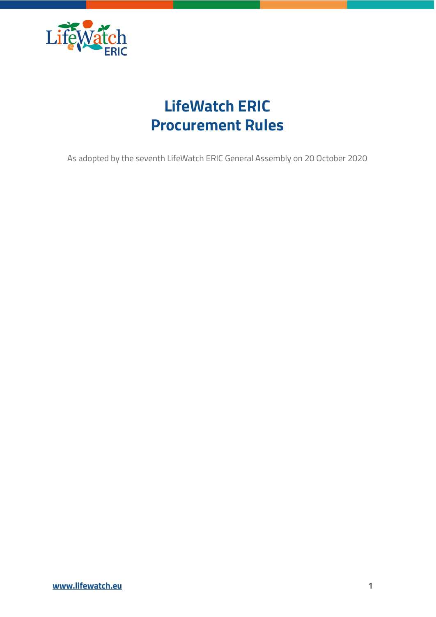

# **LifeWatch ERIC Procurement Rules**

As adopted by the seventh LifeWatch ERIC General Assembly on 20 October 2020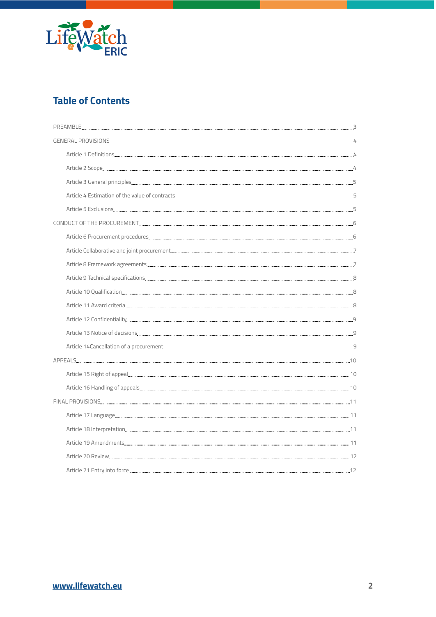

# **Table of Contents**

| CONDUCT OF THE PROCUREMENT <b>CONDUCT OF THE PROCUREMENT 6</b>                                                                                                                                                                      |  |
|-------------------------------------------------------------------------------------------------------------------------------------------------------------------------------------------------------------------------------------|--|
|                                                                                                                                                                                                                                     |  |
| Article Collaborative and joint procurement <b>continuum and are all the contract of the collaborative</b> and joint procurement <b>continuum and are all the collaborative</b> 7                                                   |  |
| Article 8 Framework agreements [1994] Article 8 Framework agreements [1994] Article 8 Framework agreements [1994] Article 8 Framework agreements [1994] Article 8 Framework agreements [1994] Article 8 Framework and the stat      |  |
|                                                                                                                                                                                                                                     |  |
|                                                                                                                                                                                                                                     |  |
|                                                                                                                                                                                                                                     |  |
|                                                                                                                                                                                                                                     |  |
| Article 13 Notice of decisions <b>contained a contained a contact a contact a</b> contact a contact a contact a contact a contact a contact a contact a contact a contact a contact a contact a contact a contact a contact a conta |  |
|                                                                                                                                                                                                                                     |  |
|                                                                                                                                                                                                                                     |  |
|                                                                                                                                                                                                                                     |  |
|                                                                                                                                                                                                                                     |  |
|                                                                                                                                                                                                                                     |  |
|                                                                                                                                                                                                                                     |  |
|                                                                                                                                                                                                                                     |  |
|                                                                                                                                                                                                                                     |  |
|                                                                                                                                                                                                                                     |  |
|                                                                                                                                                                                                                                     |  |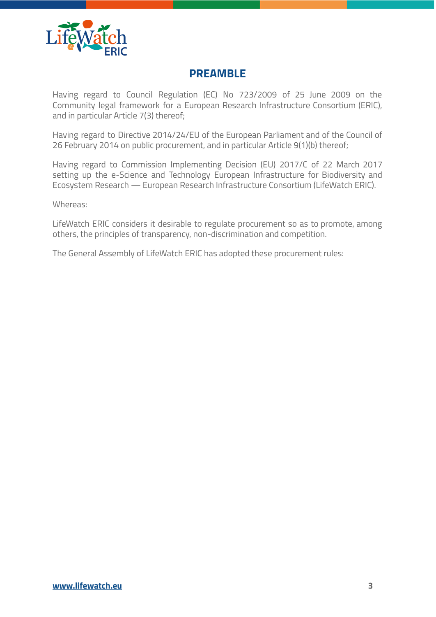

# <span id="page-2-0"></span>**PREAMBLE**

Having regard to Council Regulation (EC) No 723/2009 of 25 June 2009 on the Community legal framework for a European Research Infrastructure Consortium (ERIC), and in particular Article 7(3) thereof;

Having regard to Directive 2014/24/EU of the European Parliament and of the Council of 26 February 2014 on public procurement, and in particular Article 9(1)(b) thereof;

Having regard to Commission Implementing Decision (EU) 2017/C of 22 March 2017 setting up the e-Science and Technology European Infrastructure for Biodiversity and Ecosystem Research — European Research Infrastructure Consortium (LifeWatch ERIC).

Whereas:

LifeWatch ERIC considers it desirable to regulate procurement so as to promote, among others, the principles of transparency, non-discrimination and competition.

The General Assembly of LifeWatch ERIC has adopted these procurement rules: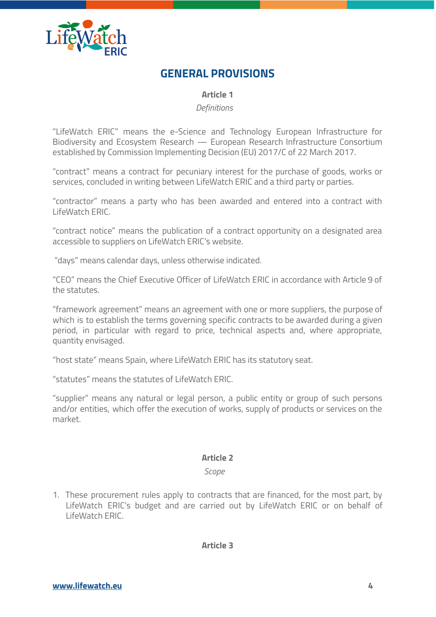

# **GENERAL PROVISIONS**

<span id="page-3-1"></span><span id="page-3-0"></span>**Article 1**

<span id="page-3-2"></span>*Definitions*

"LifeWatch ERIC" means the e-Science and Technology European Infrastructure for Biodiversity and Ecosystem Research — European Research Infrastructure Consortium established by Commission Implementing Decision (EU) 2017/C of 22 March 2017.

"contract" means a contract for pecuniary interest for the purchase of goods, works or services, concluded in writing between LifeWatch ERIC and a third party or parties.

"contractor" means a party who has been awarded and entered into a contract with LifeWatch ERIC.

"contract notice" means the publication of a contract opportunity on a designated area accessible to suppliers on LifeWatch ERIC's website.

"days" means calendar days, unless otherwise indicated.

"CEO" means the Chief Executive Officer of LifeWatch ERIC in accordance with Article 9 of the statutes.

"framework agreement" means an agreement with one or more suppliers, the purpose of which is to establish the terms governing specific contracts to be awarded during a given period, in particular with regard to price, technical aspects and, where appropriate, quantity envisaged.

"host state" means Spain, where LifeWatch ERIC has its statutory seat.

"statutes" means the statutes of LifeWatch ERIC.

"supplier" means any natural or legal person, a public entity or group of such persons and/or entities, which offer the execution of works, supply of products or services on the market.

# **Article 2**

<span id="page-3-4"></span><span id="page-3-3"></span>*Scope*

1. These procurement rules apply to contracts that are financed, for the most part, by LifeWatch ERIC's budget and are carried out by LifeWatch ERIC or on behalf of LifeWatch ERIC.

<span id="page-3-5"></span>**Article 3**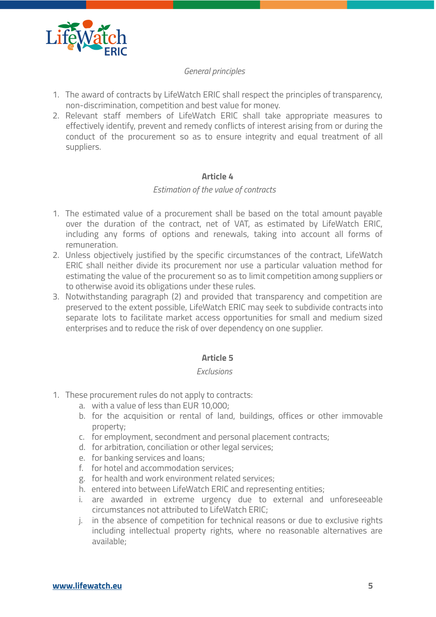

#### <span id="page-4-0"></span>*General principles*

- 1. The award of contracts by LifeWatch ERIC shall respect the principles of transparency, non-discrimination, competition and best value for money.
- 2. Relevant staff members of LifeWatch ERIC shall take appropriate measures to effectively identify, prevent and remedy conflicts of interest arising from or during the conduct of the procurement so as to ensure integrity and equal treatment of all suppliers.

#### <span id="page-4-2"></span><span id="page-4-1"></span>**Article 4**

#### *Estimation of the value of contracts*

- 1. The estimated value of a procurement shall be based on the total amount payable over the duration of the contract, net of VAT, as estimated by LifeWatch ERIC, including any forms of options and renewals, taking into account all forms of remuneration.
- 2. Unless objectively justified by the specific circumstances of the contract, LifeWatch ERIC shall neither divide its procurement nor use a particular valuation method for estimating the value of the procurement so as to limit competition among suppliers or to otherwise avoid its obligations under these rules.
- 3. Notwithstanding paragraph (2) and provided that transparency and competition are preserved to the extent possible, LifeWatch ERIC may seek to subdivide contracts into separate lots to facilitate market access opportunities for small and medium sized enterprises and to reduce the risk of over dependency on one supplier.

# <span id="page-4-3"></span>**Article 5**

#### <span id="page-4-4"></span>*Exclusions*

- 1. These procurement rules do not apply to contracts:
	- a. with a value of less than EUR 10,000;
	- b. for the acquisition or rental of land, buildings, offices or other immovable property;
	- c. for employment, secondment and personal placement contracts;
	- d. for arbitration, conciliation or other legal services;
	- e. for banking services and loans;
	- f. for hotel and accommodation services;
	- g. for health and work environment related services;
	- h. entered into between LifeWatch ERIC and representing entities;
	- i. are awarded in extreme urgency due to external and unforeseeable circumstances not attributed to LifeWatch ERIC;
	- j. in the absence of competition for technical reasons or due to exclusive rights including intellectual property rights, where no reasonable alternatives are available;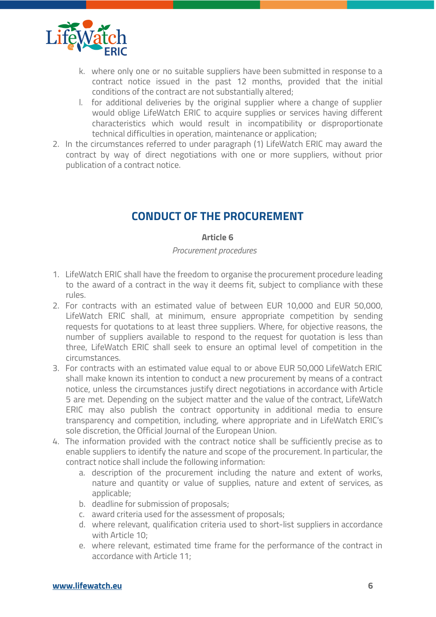

- k. where only one or no suitable suppliers have been submitted in response to a contract notice issued in the past 12 months, provided that the initial conditions of the contract are not substantially altered;
- l. for additional deliveries by the original supplier where a change of supplier would oblige LifeWatch ERIC to acquire supplies or services having different characteristics which would result in incompatibility or disproportionate technical difficulties in operation, maintenance or application;
- 2. In the circumstances referred to under paragraph (1) LifeWatch ERIC may award the contract by way of direct negotiations with one or more suppliers, without prior publication of a contract notice.

# **CONDUCT OF THE PROCUREMENT**

#### <span id="page-5-2"></span><span id="page-5-1"></span><span id="page-5-0"></span>**Article 6**

*Procurement procedures*

- 1. LifeWatch ERIC shall have the freedom to organise the procurement procedure leading to the award of a contract in the way it deems fit, subject to compliance with these rules.
- 2. For contracts with an estimated value of between EUR 10,000 and EUR 50,000, LifeWatch ERIC shall, at minimum, ensure appropriate competition by sending requests for quotations to at least three suppliers. Where, for objective reasons, the number of suppliers available to respond to the request for quotation is less than three, LifeWatch ERIC shall seek to ensure an optimal level of competition in the circumstances.
- 3. For contracts with an estimated value equal to or above EUR 50,000 LifeWatch ERIC shall make known its intention to conduct a new procurement by means of a contract notice, unless the circumstances justify direct negotiations in accordance with Article 5 are met. Depending on the subject matter and the value of the contract, LifeWatch ERIC may also publish the contract opportunity in additional media to ensure transparency and competition, including, where appropriate and in LifeWatch ERIC's sole discretion, the Official Journal of the European Union.
- 4. The information provided with the contract notice shall be sufficiently precise as to enable suppliers to identify the nature and scope of the procurement. In particular, the contract notice shall include the following information:
	- a. description of the procurement including the nature and extent of works, nature and quantity or value of supplies, nature and extent of services, as applicable;
	- b. deadline for submission of proposals;
	- c. award criteria used for the assessment of proposals;
	- d. where relevant, qualification criteria used to short-list suppliers in accordance with Article 10;
	- e. where relevant, estimated time frame for the performance of the contract in accordance with Article 11;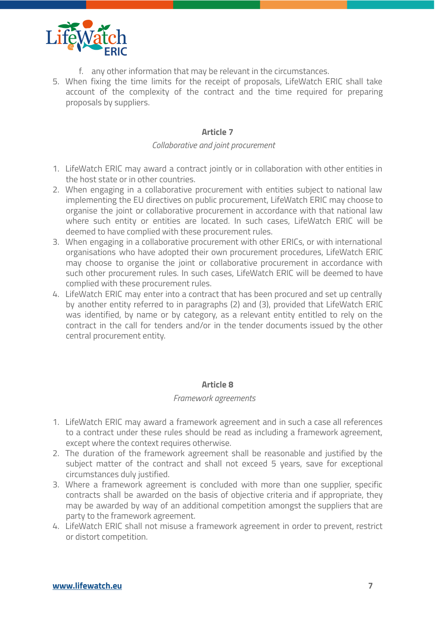

- f. any other information that may be relevant in the circumstances.
- 5. When fixing the time limits for the receipt of proposals, LifeWatch ERIC shall take account of the complexity of the contract and the time required for preparing proposals by suppliers.

#### <span id="page-6-1"></span><span id="page-6-0"></span>**Article 7**

#### *Collaborative and joint procurement*

- 1. LifeWatch ERIC may award a contract jointly or in collaboration with other entities in the host state or in other countries.
- 2. When engaging in a collaborative procurement with entities subject to national law implementing the EU directives on public procurement, LifeWatch ERIC may choose to organise the joint or collaborative procurement in accordance with that national law where such entity or entities are located. In such cases, LifeWatch ERIC will be deemed to have complied with these procurement rules.
- 3. When engaging in a collaborative procurement with other ERICs, or with international organisations who have adopted their own procurement procedures, LifeWatch ERIC may choose to organise the joint or collaborative procurement in accordance with such other procurement rules. In such cases, LifeWatch ERIC will be deemed to have complied with these procurement rules.
- 4. LifeWatch ERIC may enter into a contract that has been procured and set up centrally by another entity referred to in paragraphs (2) and (3), provided that LifeWatch ERIC was identified, by name or by category, as a relevant entity entitled to rely on the contract in the call for tenders and/or in the tender documents issued by the other central procurement entity.

#### <span id="page-6-3"></span><span id="page-6-2"></span>**Article 8**

#### *Framework agreements*

- 1. LifeWatch ERIC may award a framework agreement and in such a case all references to a contract under these rules should be read as including a framework agreement, except where the context requires otherwise.
- 2. The duration of the framework agreement shall be reasonable and justified by the subject matter of the contract and shall not exceed 5 years, save for exceptional circumstances duly justified.
- 3. Where a framework agreement is concluded with more than one supplier, specific contracts shall be awarded on the basis of objective criteria and if appropriate, they may be awarded by way of an additional competition amongst the suppliers that are party to the framework agreement.
- 4. LifeWatch ERIC shall not misuse a framework agreement in order to prevent, restrict or distort competition.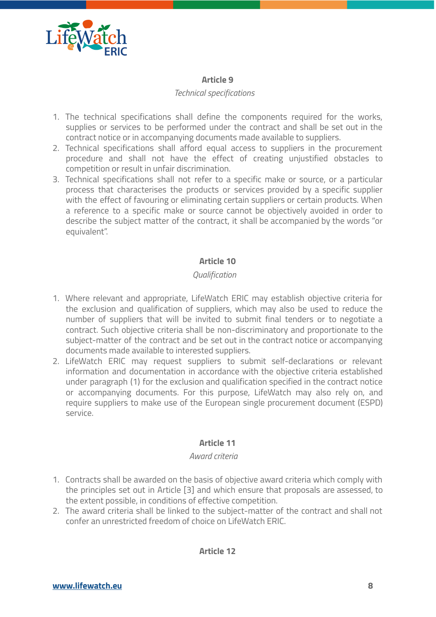

#### <span id="page-7-1"></span><span id="page-7-0"></span>**Article 9**

#### *Technical specifications*

- 1. The technical specifications shall define the components required for the works, supplies or services to be performed under the contract and shall be set out in the contract notice or in accompanying documents made available to suppliers.
- 2. Technical specifications shall afford equal access to suppliers in the procurement procedure and shall not have the effect of creating unjustified obstacles to competition or result in unfair discrimination.
- 3. Technical specifications shall not refer to a specific make or source, or a particular process that characterises the products or services provided by a specific supplier with the effect of favouring or eliminating certain suppliers or certain products. When a reference to a specific make or source cannot be objectively avoided in order to describe the subject matter of the contract, it shall be accompanied by the words "or equivalent".

#### <span id="page-7-3"></span><span id="page-7-2"></span>**Article 10**

#### *Qualification*

- 1. Where relevant and appropriate, LifeWatch ERIC may establish objective criteria for the exclusion and qualification of suppliers, which may also be used to reduce the number of suppliers that will be invited to submit final tenders or to negotiate a contract. Such objective criteria shall be non-discriminatory and proportionate to the subject-matter of the contract and be set out in the contract notice or accompanying documents made available to interested suppliers.
- 2. LifeWatch ERIC may request suppliers to submit self-declarations or relevant information and documentation in accordance with the objective criteria established under paragraph (1) for the exclusion and qualification specified in the contract notice or accompanying documents. For this purpose, LifeWatch may also rely on, and require suppliers to make use of the European single procurement document (ESPD) service.

#### <span id="page-7-5"></span><span id="page-7-4"></span>**Article 11**

#### *Award criteria*

- 1. Contracts shall be awarded on the basis of objective award criteria which comply with the principles set out in Article [3] and which ensure that proposals are assessed, to the extent possible, in conditions of effective competition.
- 2. The award criteria shall be linked to the subject-matter of the contract and shall not confer an unrestricted freedom of choice on LifeWatch ERIC.

# <span id="page-7-6"></span>**Article 12**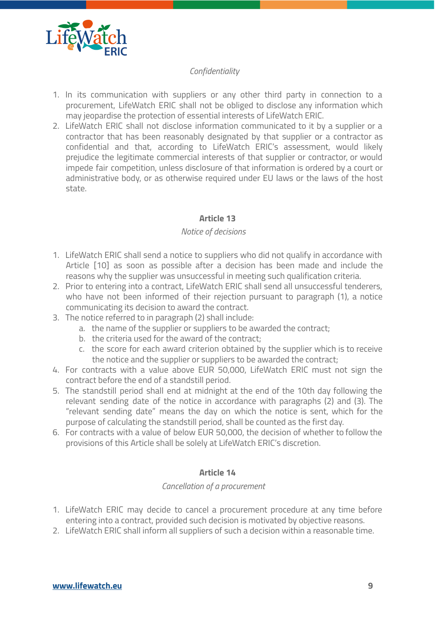

#### <span id="page-8-0"></span>*Confidentiality*

- 1. In its communication with suppliers or any other third party in connection to a procurement, LifeWatch ERIC shall not be obliged to disclose any information which may jeopardise the protection of essential interests of LifeWatch ERIC.
- 2. LifeWatch ERIC shall not disclose information communicated to it by a supplier or a contractor that has been reasonably designated by that supplier or a contractor as confidential and that, according to LifeWatch ERIC's assessment, would likely prejudice the legitimate commercial interests of that supplier or contractor, or would impede fair competition, unless disclosure of that information is ordered by a court or administrative body, or as otherwise required under EU laws or the laws of the host state.

#### <span id="page-8-2"></span><span id="page-8-1"></span>**Article 13**

#### *Notice of decisions*

- 1. LifeWatch ERIC shall send a notice to suppliers who did not qualify in accordance with Article [10] as soon as possible after a decision has been made and include the reasons why the supplier was unsuccessful in meeting such qualification criteria.
- 2. Prior to entering into a contract, LifeWatch ERIC shall send all unsuccessful tenderers, who have not been informed of their rejection pursuant to paragraph (1), a notice communicating its decision to award the contract.
- 3. The notice referred to in paragraph (2) shall include:
	- a. the name of the supplier or suppliers to be awarded the contract;
	- b. the criteria used for the award of the contract;
	- c. the score for each award criterion obtained by the supplier which is to receive the notice and the supplier or suppliers to be awarded the contract;
- 4. For contracts with a value above EUR 50,000, LifeWatch ERIC must not sign the contract before the end of a standstill period.
- 5. The standstill period shall end at midnight at the end of the 10th day following the relevant sending date of the notice in accordance with paragraphs (2) and (3). The "relevant sending date" means the day on which the notice is sent, which for the purpose of calculating the standstill period, shall be counted as the first day.
- 6. For contracts with a value of below EUR 50,000, the decision of whether to follow the provisions of this Article shall be solely at LifeWatch ERIC's discretion.

#### <span id="page-8-4"></span><span id="page-8-3"></span>**Article 14**

#### *Cancellation of a procurement*

- 1. LifeWatch ERIC may decide to cancel a procurement procedure at any time before entering into a contract, provided such decision is motivated by objective reasons.
- 2. LifeWatch ERIC shall inform all suppliers of such a decision within a reasonable time.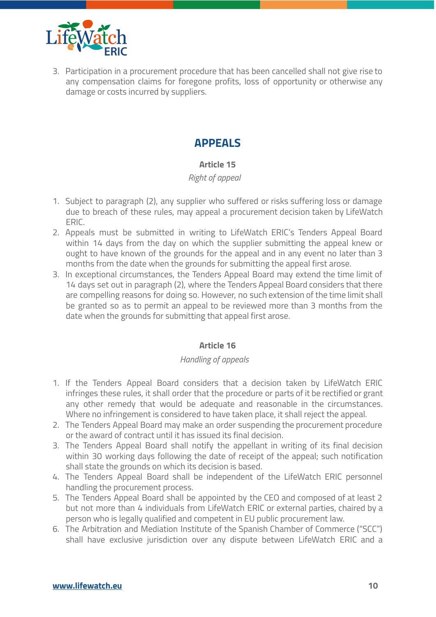

3. Participation in a procurement procedure that has been cancelled shall not give rise to any compensation claims for foregone profits, loss of opportunity or otherwise any damage or costs incurred by suppliers.

# **APPEALS**

# <span id="page-9-2"></span><span id="page-9-1"></span><span id="page-9-0"></span>**Article 15**

#### *Right of appeal*

- 1. Subject to paragraph (2), any supplier who suffered or risks suffering loss or damage due to breach of these rules, may appeal a procurement decision taken by LifeWatch ERIC.
- 2. Appeals must be submitted in writing to LifeWatch ERIC's Tenders Appeal Board within 14 days from the day on which the supplier submitting the appeal knew or ought to have known of the grounds for the appeal and in any event no later than 3 months from the date when the grounds for submitting the appeal first arose.
- 3. In exceptional circumstances, the Tenders Appeal Board may extend the time limit of 14 days set out in paragraph (2), where the Tenders Appeal Board considers that there are compelling reasons for doing so. However, no such extension of the time limit shall be granted so as to permit an appeal to be reviewed more than 3 months from the date when the grounds for submitting that appeal first arose.

# <span id="page-9-4"></span><span id="page-9-3"></span>**Article 16**

# *Handling of appeals*

- 1. If the Tenders Appeal Board considers that a decision taken by LifeWatch ERIC infringes these rules, it shall order that the procedure or parts of it be rectified or grant any other remedy that would be adequate and reasonable in the circumstances. Where no infringement is considered to have taken place, it shall reject the appeal.
- 2. The Tenders Appeal Board may make an order suspending the procurement procedure or the award of contract until it has issued its final decision.
- 3. The Tenders Appeal Board shall notify the appellant in writing of its final decision within 30 working days following the date of receipt of the appeal; such notification shall state the grounds on which its decision is based.
- 4. The Tenders Appeal Board shall be independent of the LifeWatch ERIC personnel handling the procurement process.
- 5. The Tenders Appeal Board shall be appointed by the CEO and composed of at least 2 but not more than 4 individuals from LifeWatch ERIC or external parties, chaired by a person who is legally qualified and competent in EU public procurement law.
- 6. The Arbitration and Mediation Institute of the Spanish Chamber of Commerce ("SCC") shall have exclusive jurisdiction over any dispute between LifeWatch ERIC and a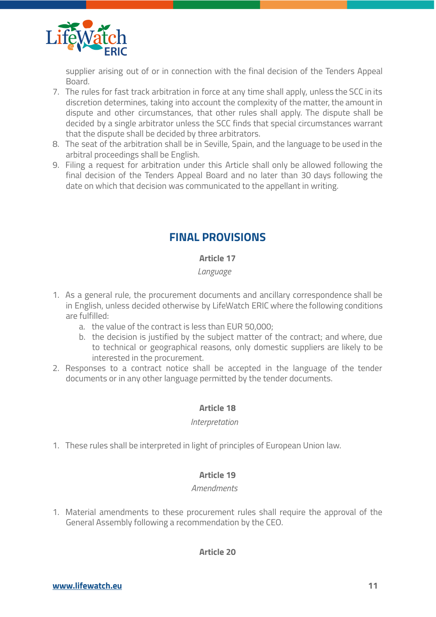

supplier arising out of or in connection with the final decision of the Tenders Appeal Board.

- 7. The rules for fast track arbitration in force at any time shall apply, unless the SCC in its discretion determines, taking into account the complexity of the matter, the amount in dispute and other circumstances, that other rules shall apply. The dispute shall be decided by a single arbitrator unless the SCC finds that special circumstances warrant that the dispute shall be decided by three arbitrators.
- 8. The seat of the arbitration shall be in Seville, Spain, and the language to be used in the arbitral proceedings shall be English.
- 9. Filing a request for arbitration under this Article shall only be allowed following the final decision of the Tenders Appeal Board and no later than 30 days following the date on which that decision was communicated to the appellant in writing.

# **FINAL PROVISIONS**

# <span id="page-10-1"></span><span id="page-10-0"></span>**Article 17**

# <span id="page-10-2"></span>*Language*

- 1. As a general rule, the procurement documents and ancillary correspondence shall be in English, unless decided otherwise by LifeWatch ERIC where the following conditions are fulfilled:
	- a. the value of the contract is less than EUR 50,000;
	- b. the decision is justified by the subject matter of the contract; and where, due to technical or geographical reasons, only domestic suppliers are likely to be interested in the procurement.
- 2. Responses to a contract notice shall be accepted in the language of the tender documents or in any other language permitted by the tender documents.

# <span id="page-10-4"></span><span id="page-10-3"></span>**Article 18**

#### *Interpretation*

1. These rules shall be interpreted in light of principles of European Union law.

# <span id="page-10-6"></span><span id="page-10-5"></span>**Article 19**

# *Amendments*

1. Material amendments to these procurement rules shall require the approval of the General Assembly following a recommendation by the CEO.

# <span id="page-10-7"></span>**Article 20**